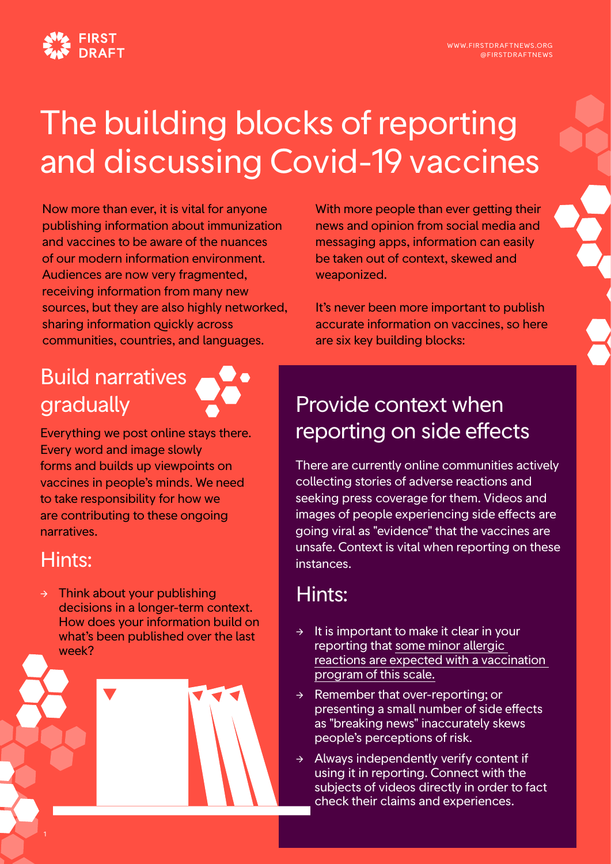

## The building blocks of reporting and discussing Covid-19 vaccines

Now more than ever, it is vital for anyone publishing information about immunization and vaccines to be aware of the nuances of our modern information environment. Audiences are now very fragmented, receiving information from many new sources, but they are also highly networked, sharing information quickly across communities, countries, and languages.

With more people than ever getting their news and opinion from social media and messaging apps, information can easily be taken out of context, skewed and weaponized.

It's never been more important to publish accurate information on vaccines, so here are six key building blocks:

# Build narratives

Everything we post online stays there. Every word and image slowly forms and builds up viewpoints on vaccines in people's minds. We need to take responsibility for how we are contributing to these ongoing narratives.

#### Hints:

Think about your publishing decisions in a longer-term context. How does your information build on what's been published over the last week?

#### gradually **Provide context when** reporting on side effects

There are currently online communities actively collecting stories of adverse reactions and seeking press coverage for them. Videos and images of people experiencing side effects are going viral as "evidence" that the vaccines are unsafe. Context is vital when reporting on these instances.

#### Hints:

- $\rightarrow$  It is important to make it clear in your reporting that [some minor allergic](https://www.cdc.gov/coronavirus/2019-ncov/vaccines/expect/after.html)  [reactions are expected with a vaccination](https://www.cdc.gov/coronavirus/2019-ncov/vaccines/expect/after.html)  [program of this scale.](https://www.cdc.gov/coronavirus/2019-ncov/vaccines/expect/after.html)
- $\rightarrow$  Remember that over-reporting; or presenting a small number of side effects as "breaking news" inaccurately skews people's perceptions of risk.
- → Always independently verify content if using it in reporting. Connect with the subjects of videos directly in order to fact check their claims and experiences.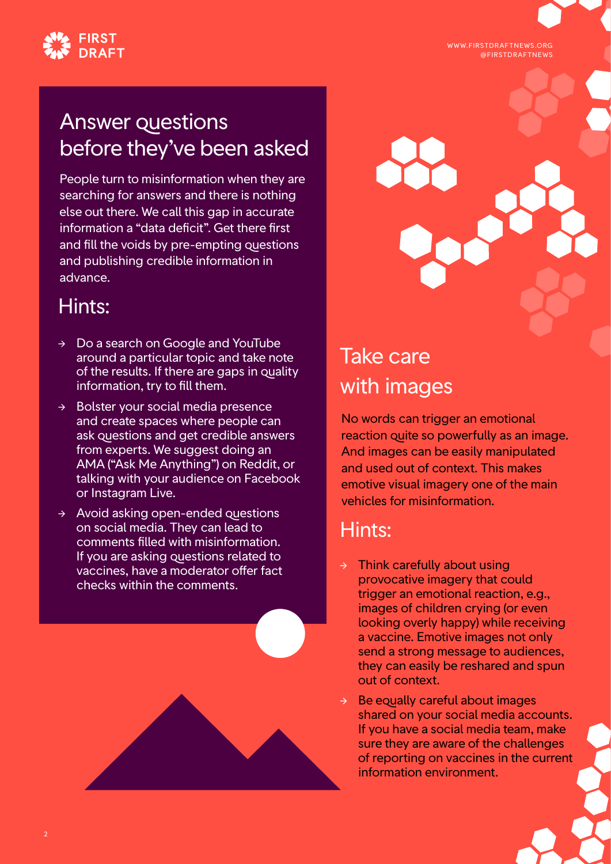WWW.FIRSTDRAFTNEWS.ORG @FIRSTDRAFTNEWS



#### Answer questions before they've been asked

People turn to misinformation when they are searching for answers and there is nothing else out there. We call this gap in accurate information a "data deficit". Get there first and fill the voids by pre-empting questions and publishing credible information in advance.

#### Hints:

- → Do a search on Google and YouTube around a particular topic and take note of the results. If there are gaps in quality information, try to fill them.
- → Bolster your social media presence and create spaces where people can ask questions and get credible answers from experts. We suggest doing an AMA ("Ask Me Anything") on Reddit, or talking with your audience on Facebook or Instagram Live.
- $\rightarrow$  Avoid asking open-ended questions on social media. They can lead to comments filled with misinformation. If you are asking questions related to vaccines, have a moderator offer fact checks within the comments.



#### Take care with images

No words can trigger an emotional reaction quite so powerfully as an image. And images can be easily manipulated and used out of context. This makes emotive visual imagery one of the main vehicles for misinformation.

#### Hints:

- Think carefully about using provocative imagery that could trigger an emotional reaction, e.g., images of children crying (or even looking overly happy) while receiving a vaccine. Emotive images not only send a strong message to audiences, they can easily be reshared and spun out of context.
- $\rightarrow$  Be equally careful about images shared on your social media accounts. If you have a social media team, make sure they are aware of the challenges of reporting on vaccines in the current information environment.